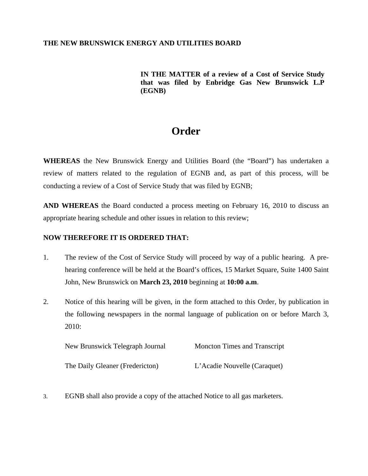## **THE NEW BRUNSWICK ENERGY AND UTILITIES BOARD**

## **IN THE MATTER of a review of a Cost of Service Study that was filed by Enbridge Gas New Brunswick L.P (EGNB)**

## **Order**

**WHEREAS** the New Brunswick Energy and Utilities Board (the "Board") has undertaken a review of matters related to the regulation of EGNB and, as part of this process, will be conducting a review of a Cost of Service Study that was filed by EGNB;

**AND WHEREAS** the Board conducted a process meeting on February 16, 2010 to discuss an appropriate hearing schedule and other issues in relation to this review;

## **NOW THEREFORE IT IS ORDERED THAT:**

- 1. The review of the Cost of Service Study will proceed by way of a public hearing. A prehearing conference will be held at the Board's offices, 15 Market Square, Suite 1400 Saint John, New Brunswick on **March 23, 2010** beginning at **10:00 a.m**.
- 2. Notice of this hearing will be given, in the form attached to this Order, by publication in the following newspapers in the normal language of publication on or before March 3, 2010:

| New Brunswick Telegraph Journal | <b>Moncton Times and Transcript</b> |
|---------------------------------|-------------------------------------|
| The Daily Gleaner (Fredericton) | L'Acadie Nouvelle (Caraquet)        |

3. EGNB shall also provide a copy of the attached Notice to all gas marketers.